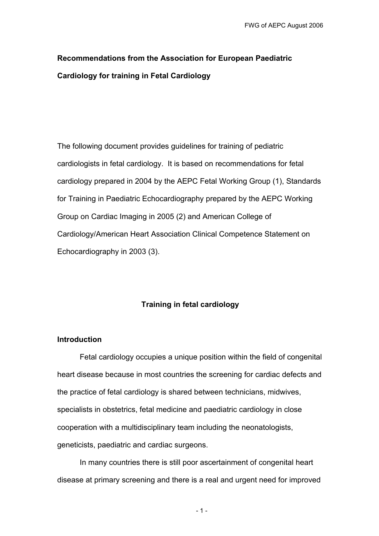# **Recommendations from the Association for European Paediatric Cardiology for training in Fetal Cardiology**

The following document provides guidelines for training of pediatric cardiologists in fetal cardiology. It is based on recommendations for fetal cardiology prepared in 2004 by the AEPC Fetal Working Group (1), Standards for Training in Paediatric Echocardiography prepared by the AEPC Working Group on Cardiac Imaging in 2005 (2) and American College of Cardiology/American Heart Association Clinical Competence Statement on Echocardiography in 2003 (3).

## **Training in fetal cardiology**

#### **Introduction**

Fetal cardiology occupies a unique position within the field of congenital heart disease because in most countries the screening for cardiac defects and the practice of fetal cardiology is shared between technicians, midwives, specialists in obstetrics, fetal medicine and paediatric cardiology in close cooperation with a multidisciplinary team including the neonatologists, geneticists, paediatric and cardiac surgeons.

In many countries there is still poor ascertainment of congenital heart disease at primary screening and there is a real and urgent need for improved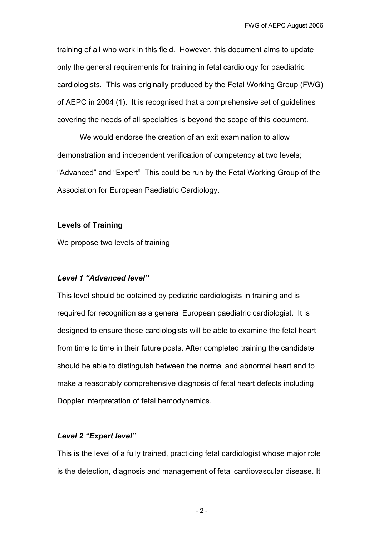training of all who work in this field. However, this document aims to update only the general requirements for training in fetal cardiology for paediatric cardiologists. This was originally produced by the Fetal Working Group (FWG) of AEPC in 2004 (1). It is recognised that a comprehensive set of guidelines covering the needs of all specialties is beyond the scope of this document.

We would endorse the creation of an exit examination to allow demonstration and independent verification of competency at two levels; "Advanced" and "Expert" This could be run by the Fetal Working Group of the Association for European Paediatric Cardiology.

#### **Levels of Training**

We propose two levels of training

#### *Level 1 "Advanced level"*

This level should be obtained by pediatric cardiologists in training and is required for recognition as a general European paediatric cardiologist. It is designed to ensure these cardiologists will be able to examine the fetal heart from time to time in their future posts. After completed training the candidate should be able to distinguish between the normal and abnormal heart and to make a reasonably comprehensive diagnosis of fetal heart defects including Doppler interpretation of fetal hemodynamics.

#### *Level 2 "Expert level"*

This is the level of a fully trained, practicing fetal cardiologist whose major role is the detection, diagnosis and management of fetal cardiovascular disease. It

- 2 -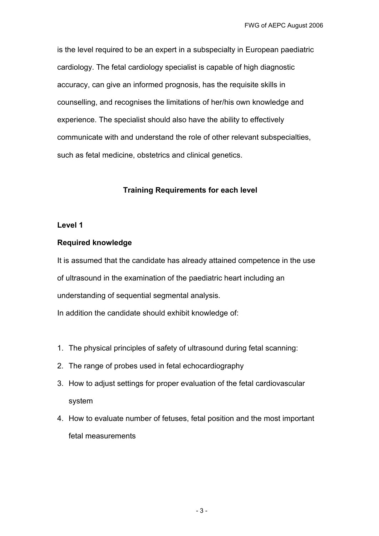is the level required to be an expert in a subspecialty in European paediatric cardiology. The fetal cardiology specialist is capable of high diagnostic accuracy, can give an informed prognosis, has the requisite skills in counselling, and recognises the limitations of her/his own knowledge and experience. The specialist should also have the ability to effectively communicate with and understand the role of other relevant subspecialties, such as fetal medicine, obstetrics and clinical genetics.

# **Training Requirements for each level**

## **Level 1**

## **Required knowledge**

It is assumed that the candidate has already attained competence in the use of ultrasound in the examination of the paediatric heart including an understanding of sequential segmental analysis. In addition the candidate should exhibit knowledge of:

- 1. The physical principles of safety of ultrasound during fetal scanning:
- 2. The range of probes used in fetal echocardiography
- 3. How to adjust settings for proper evaluation of the fetal cardiovascular system
- 4. How to evaluate number of fetuses, fetal position and the most important fetal measurements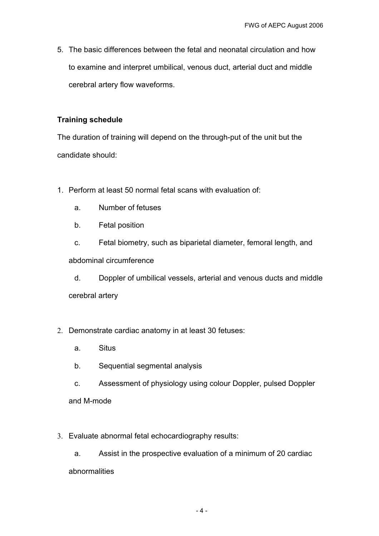5. The basic differences between the fetal and neonatal circulation and how to examine and interpret umbilical, venous duct, arterial duct and middle cerebral artery flow waveforms.

# **Training schedule**

The duration of training will depend on the through-put of the unit but the candidate should:

- 1. Perform at least 50 normal fetal scans with evaluation of:
	- a. Number of fetuses
	- b. Fetal position

c. Fetal biometry, such as biparietal diameter, femoral length, and abdominal circumference

d. Doppler of umbilical vessels, arterial and venous ducts and middle cerebral artery

- 2. Demonstrate cardiac anatomy in at least 30 fetuses:
	- a. Situs
	- b. Sequential segmental analysis
	- c. Assessment of physiology using colour Doppler, pulsed Doppler and M-mode
- 3. Evaluate abnormal fetal echocardiography results:

a. Assist in the prospective evaluation of a minimum of 20 cardiac abnormalities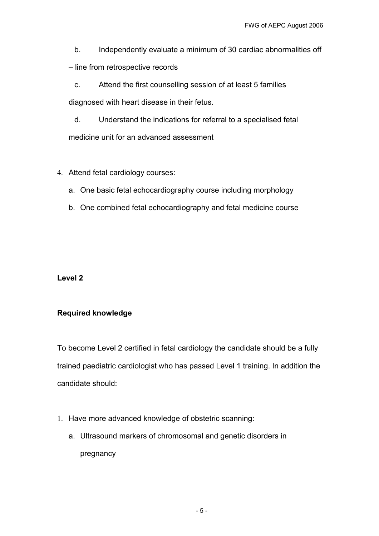b. Independently evaluate a minimum of 30 cardiac abnormalities off

– line from retrospective records

c. Attend the first counselling session of at least 5 families diagnosed with heart disease in their fetus.

d. Understand the indications for referral to a specialised fetal medicine unit for an advanced assessment

# 4. Attend fetal cardiology courses:

- a. One basic fetal echocardiography course including morphology
- b. One combined fetal echocardiography and fetal medicine course

## **Level 2**

# **Required knowledge**

To become Level 2 certified in fetal cardiology the candidate should be a fully trained paediatric cardiologist who has passed Level 1 training. In addition the candidate should:

- 1. Have more advanced knowledge of obstetric scanning:
	- a. Ultrasound markers of chromosomal and genetic disorders in pregnancy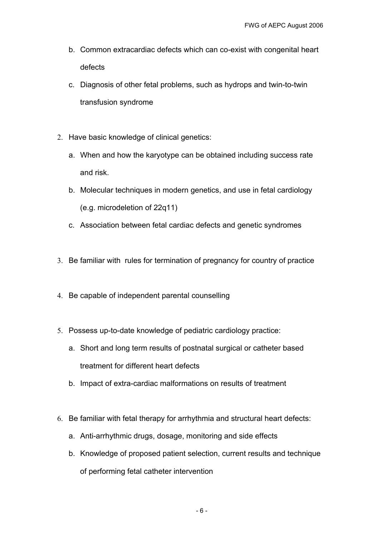- b. Common extracardiac defects which can co-exist with congenital heart defects
- c. Diagnosis of other fetal problems, such as hydrops and twin-to-twin transfusion syndrome
- 2. Have basic knowledge of clinical genetics:
	- a. When and how the karyotype can be obtained including success rate and risk.
	- b. Molecular techniques in modern genetics, and use in fetal cardiology (e.g. microdeletion of 22q11)
	- c. Association between fetal cardiac defects and genetic syndromes
- 3. Be familiar with rules for termination of pregnancy for country of practice
- 4. Be capable of independent parental counselling
- 5. Possess up-to-date knowledge of pediatric cardiology practice:
	- a. Short and long term results of postnatal surgical or catheter based treatment for different heart defects
	- b. Impact of extra-cardiac malformations on results of treatment
- 6. Be familiar with fetal therapy for arrhythmia and structural heart defects:
	- a. Anti-arrhythmic drugs, dosage, monitoring and side effects
	- b. Knowledge of proposed patient selection, current results and technique of performing fetal catheter intervention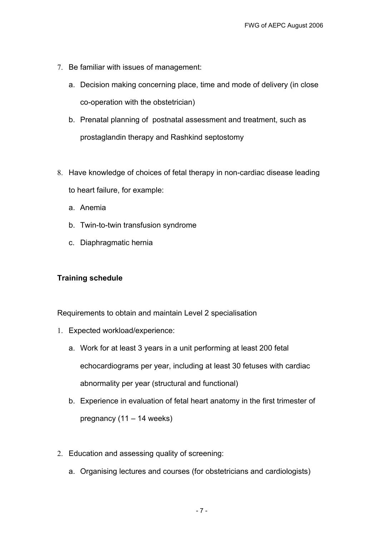- 7. Be familiar with issues of management:
	- a. Decision making concerning place, time and mode of delivery (in close co-operation with the obstetrician)
	- b. Prenatal planning of postnatal assessment and treatment, such as prostaglandin therapy and Rashkind septostomy
- 8. Have knowledge of choices of fetal therapy in non-cardiac disease leading to heart failure, for example:
	- a. Anemia
	- b. Twin-to-twin transfusion syndrome
	- c. Diaphragmatic hernia

## **Training schedule**

Requirements to obtain and maintain Level 2 specialisation

- 1. Expected workload/experience:
	- a. Work for at least 3 years in a unit performing at least 200 fetal echocardiograms per year, including at least 30 fetuses with cardiac abnormality per year (structural and functional)
	- b. Experience in evaluation of fetal heart anatomy in the first trimester of pregnancy (11 – 14 weeks)
- 2. Education and assessing quality of screening:
	- a. Organising lectures and courses (for obstetricians and cardiologists)